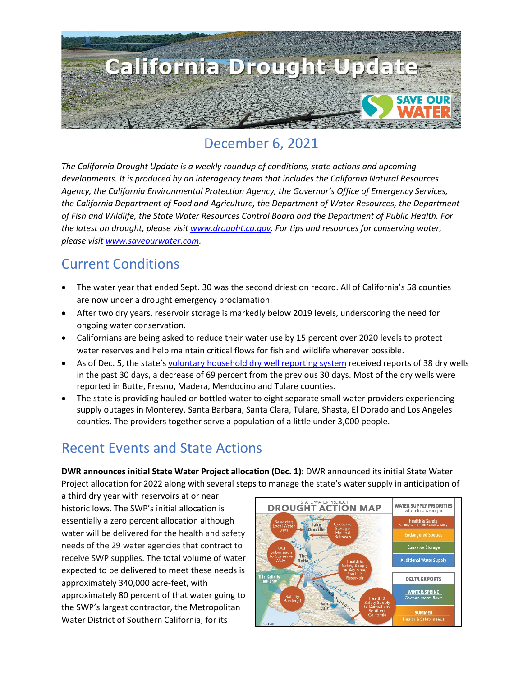

### December 6, 2021

*The California Drought Update is a weekly roundup of conditions, state actions and upcoming developments. It is produced by an interagency team that includes the California Natural Resources Agency, the California Environmental Protection Agency, the Governor's Office of Emergency Services, the California Department of Food and Agriculture, the Department of Water Resources, the Department of Fish and Wildlife, the State Water Resources Control Board and the Department of Public Health. For the latest on drought, please visit [www.drought.ca.gov.](http://www.drought.ca.gov/) For tips and resources for conserving water, please visit [www.saveourwater.com.](http://www.saveourwater.com/)*

#### Current Conditions

- The water year that ended Sept. 30 was the second driest on record. All of California's 58 counties are now under a drought emergency proclamation.
- After two dry years, reservoir storage is markedly below 2019 levels, underscoring the need for ongoing water conservation.
- Californians are being asked to reduce their water use by 15 percent over 2020 levels to protect water reserves and help maintain critical flows for fish and wildlife wherever possible.
- As of Dec. 5, the state's [voluntary household dry well reporting system](https://mydrywell.water.ca.gov/report/) received reports of 38 dry wells in the past 30 days, a decrease of 69 percent from the previous 30 days. Most of the dry wells were reported in Butte, Fresno, Madera, Mendocino and Tulare counties.
- The state is providing hauled or bottled water to eight separate small water providers experiencing supply outages in Monterey, Santa Barbara, Santa Clara, Tulare, Shasta, El Dorado and Los Angeles counties. The providers together serve a population of a little under 3,000 people.

## Recent Events and State Actions

**DWR announces initial State Water Project allocation (Dec. 1):** DWR announced its initial State Water Project allocation for 2022 along with several steps to manage the state's water supply in anticipation of

a third dry year with reservoirs at or near historic lows. The SWP's initial allocation is essentially a zero percent allocation although water will be delivered for the health and safety needs of the 29 water agencies that contract to receive SWP supplies. The total volume of water expected to be delivered to meet these needs is approximately 340,000 acre-feet, with approximately 80 percent of that water going to the SWP's largest contractor, the Metropolitan Water District of Southern California, for its

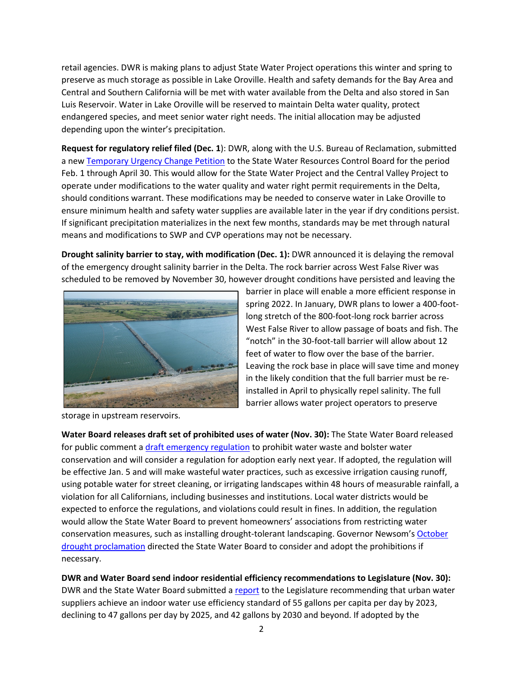retail agencies. DWR is making plans to adjust State Water Project operations this winter and spring to preserve as much storage as possible in Lake Oroville. Health and safety demands for the Bay Area and Central and Southern California will be met with water available from the Delta and also stored in San Luis Reservoir. Water in Lake Oroville will be reserved to maintain Delta water quality, protect endangered species, and meet senior water right needs. The initial allocation may be adjusted depending upon the winter's precipitation.

**Request for regulatory relief filed (Dec. 1**): DWR, along with the U.S. Bureau of Reclamation, submitted a new [Temporary Urgency Change Petition](https://www.waterboards.ca.gov/drought/tucp/docs/2022/2021.12_2022_TUCP.pdf) to the State Water Resources Control Board for the period Feb. 1 through April 30. This would allow for the State Water Project and the Central Valley Project to operate under modifications to the water quality and water right permit requirements in the Delta, should conditions warrant. These modifications may be needed to conserve water in Lake Oroville to ensure minimum health and safety water supplies are available later in the year if dry conditions persist. If significant precipitation materializes in the next few months, standards may be met through natural means and modifications to SWP and CVP operations may not be necessary.

**Drought salinity barrier to stay, with modification (Dec. 1):** DWR announced it is delaying the removal of the emergency drought salinity barrier in the Delta. The rock barrier across West False River was scheduled to be removed by November 30, however drought conditions have persisted and leaving the



storage in upstream reservoirs.

barrier in place will enable a more efficient response in spring 2022. In January, DWR plans to lower a 400-footlong stretch of the 800-foot-long rock barrier across West False River to allow passage of boats and fish. The "notch" in the 30-foot-tall barrier will allow about 12 feet of water to flow over the base of the barrier. Leaving the rock base in place will save time and money in the likely condition that the full barrier must be reinstalled in April to physically repel salinity. The full barrier allows water project operators to preserve

**Water Board releases draft set of prohibited uses of water (Nov. 30):** The State Water Board released for public comment a [draft emergency regulation](https://www.waterboards.ca.gov/water_issues/programs/conservation_portal/emergency_regulation.html) to prohibit water waste and bolster water conservation and will consider a regulation for adoption early next year. If adopted, the regulation will be effective Jan. 5 and will make wasteful water practices, such as excessive irrigation causing runoff, using potable water for street cleaning, or irrigating landscapes within 48 hours of measurable rainfall, a violation for all Californians, including businesses and institutions. Local water districts would be expected to enforce the regulations, and violations could result in fines. In addition, the regulation would allow the State Water Board to prevent homeowners' associations from restricting water conservation measures, such as installing drought-tolerant landscaping. Governor Newsom's [October](https://www.gov.ca.gov/wp-content/uploads/2021/10/10.19.21-Drought-SOE-1.pdf)  [drought proclamation](https://www.gov.ca.gov/wp-content/uploads/2021/10/10.19.21-Drought-SOE-1.pdf) directed the State Water Board to consider and adopt the prohibitions if necessary.

**DWR and Water Board send indoor residential efficiency recommendations to Legislature (Nov. 30):**  DWR and the State Water Board submitted a [report](https://water.ca.gov/-/media/DWR-Website/Web-Pages/Programs/Water-Use-And-Efficiency/AB-1668-and-SB-606-Conservation/Results-of-the-Indoor-Residential-Water-Use-Study.pdf) to the Legislature recommending that urban water suppliers achieve an indoor water use efficiency standard of 55 gallons per capita per day by 2023, declining to 47 gallons per day by 2025, and 42 gallons by 2030 and beyond. If adopted by the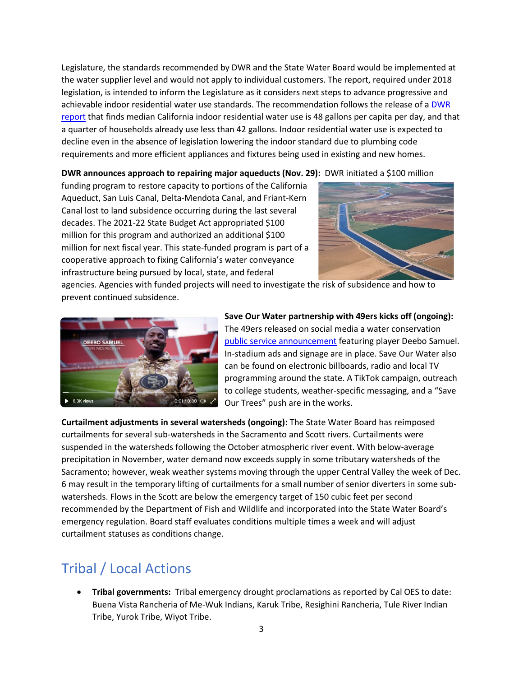Legislature, the standards recommended by DWR and the State Water Board would be implemented at the water supplier level and would not apply to individual customers. The report, required under 2018 legislation, is intended to inform the Legislature as it considers next steps to advance progressive and achievable indoor residential water use standards. The recommendation follows the release of a [DWR](https://water.ca.gov/Programs/Water-Use-And-Efficiency/2018-Water-Conservation-Legislation/Urban-Water-Use-Efficiency-Standards-and-Water-Use-Objective)  [report](https://water.ca.gov/Programs/Water-Use-And-Efficiency/2018-Water-Conservation-Legislation/Urban-Water-Use-Efficiency-Standards-and-Water-Use-Objective) that finds median California indoor residential water use is 48 gallons per capita per day, and that a quarter of households already use less than 42 gallons. Indoor residential water use is expected to decline even in the absence of legislation lowering the indoor standard due to plumbing code requirements and more efficient appliances and fixtures being used in existing and new homes.

**DWR announces approach to repairing major aqueducts (Nov. 29):** DWR initiated a \$100 million

funding program to restore capacity to portions of the California Aqueduct, San Luis Canal, Delta-Mendota Canal, and Friant-Kern Canal lost to land subsidence occurring during the last several decades. The 2021-22 State Budget Act appropriated \$100 million for this program and authorized an additional \$100 million for next fiscal year. This state-funded program is part of a cooperative approach to fixing California's water conveyance infrastructure being pursued by local, state, and federal



agencies. Agencies with funded projects will need to investigate the risk of subsidence and how to prevent continued subsidence.



**Save Our Water partnership with 49ers kicks off (ongoing):**  The 49ers released on social media a water conservation [public service announcement](https://twitter.com/49ers/status/1466482305011273733) featuring player Deebo Samuel. In-stadium ads and signage are in place. Save Our Water also can be found on electronic billboards, radio and local TV programming around the state. A TikTok campaign, outreach to college students, weather-specific messaging, and a "Save Our Trees" push are in the works.

**Curtailment adjustments in several watersheds (ongoing):** The State Water Board has reimposed curtailments for several sub-watersheds in the Sacramento and Scott rivers. Curtailments were suspended in the watersheds following the October atmospheric river event. With below-average precipitation in November, water demand now exceeds supply in some tributary watersheds of the Sacramento; however, weak weather systems moving through the upper Central Valley the week of Dec. 6 may result in the temporary lifting of curtailments for a small number of senior diverters in some subwatersheds. Flows in the Scott are below the emergency target of 150 cubic feet per second recommended by the Department of Fish and Wildlife and incorporated into the State Water Board's emergency regulation. Board staff evaluates conditions multiple times a week and will adjust curtailment statuses as conditions change.

# Tribal / Local Actions

• **Tribal governments:** Tribal emergency drought proclamations as reported by Cal OES to date: Buena Vista Rancheria of Me-Wuk Indians, Karuk Tribe, Resighini Rancheria, Tule River Indian Tribe, Yurok Tribe, Wiyot Tribe.